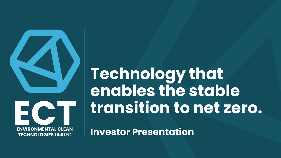

**Technology that enables the stable transition to net zero.**

**TECHNOLOGIES** LIMITED **Investor Presentation**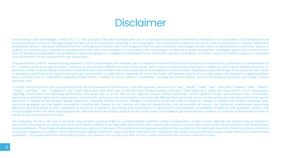### **Disclaimer**

Environmental Clean Technologies Limited ("ECT" or "the Company") has taken all reasonable care in compiling and producing the information contained in this presentation. The Company will not be responsible for any loss or damage arising from the use of the information contained in this presentation. The information provided should not be used as a substitute for seeking independent professional advice in making an investment decision involving Environmental Clean Technologies Limited. Environmental Clean Technologies Limited makes no representation or warranty, express or implied, as to the accuracy, reliability, or completeness of the information provided. Environmental Clean Technologies Limited and its respective directors, employees, agents and consultants shall have no liability (including liability to any person by reason of negligence or negligent misstatement) for any statements, opinions, information, or matters, express or implied arising out of, contained in or derived from, or any omissions from this presentation.

This presentation contains "forward looking statements" which involve known and unknown risks, uncertainties and other factors which may cause the actual results, performance or achievements of ECT, industry results or general economic conditions, to be materially different from any future results, performance or achievements expressed or implied by such forward looking statements. In particular, certain forward looking statements contained in this material reflect the current expectations of management of the Company regarding among other things: (i) our future growth, results of operations, performance and business prospects and opportunities; (ii) expectations regarding the size of the market and installed capacity of our project plants; (iii) expectations regarding market prices and costs; and (iv) expectations regarding market trends in relation to certain relevant commodities, including benchmark thermal coal and metallurgical coal prices and foreign currency exchange rates.

Forward looking statements are only predictions and are not guarantees of performance. Wherever possible, words such as "may," "would," "could," "will," "anticipate," "believe," "plan," "expect," "intend," "estimate," "aim," "endeavour" and similar expressions have been used to identify these forward looking statements. These statements reflect the Corporation's current expectations regarding future events and operating performance, and speak only as of the date of this material. Forward looking statements involve significant known and unknown risks, uncertainties, assumptions and other factors that could cause our actual results, performance or achievements to be materially different from any future trends, results, performance or achievements that may be expressed or implied by the forward looking statements, including, without limitation, changes in commodity prices and costs of materials, changes in interest and currency exchange rates, inaccurate geological and coal quality assumptions (including with respect to size, physical and chemical characteristics, and recoverability of reserves and resources), unanticipated operational difficulties (including failure of plant, equipment or processes to operate in accordance with specifications or expectations, cost escalation, unavailability of materials and equipment, delays in the receipt of government and other required approvals, and environmental matters), political risk and social unrest, and changes in general economic conditions or conditions in the financial markets or the world coal, iron and steel industries.

The materiality of these risks and uncertainties may increase correspondingly as a forward looking statement speaks to expectations further in time. Although the forward looking statements contained in this material are based upon what the Company believes to be reasonable assumptions, the Company cannot assure investors that actual results will be consistent with these forward looking statements. These forward looking statements are made as of the date of this material and are expressly qualified in their entirety by this cautionary statement. We do not intend, and do not assume any obligation, to update or revise these forward looking statements, unless otherwise required by law. Prospective purchasers are cautioned not to place undue reliance on forward looking statements. This presentation is for information purposes only and does not constitute an offer to sell or a solicitation to buy the securities referred to herein.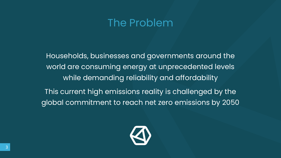### The Problem

Households, businesses and governments around the world are consuming energy at unprecedented levels while demanding reliability and affordability

This current high emissions reality is challenged by the global commitment to reach net zero emissions by 2050

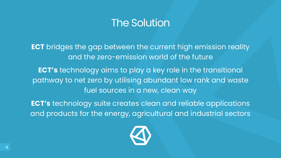### The Solution

**ECT** bridges the gap between the current high emission reality and the zero-emission world of the future

**ECT's** technology aims to play a key role in the transitional pathway to net zero by utilising abundant low rank and waste fuel sources in a new, clean way

**ECT's** technology suite creates clean and reliable applications and products for the energy, agricultural and industrial sectors

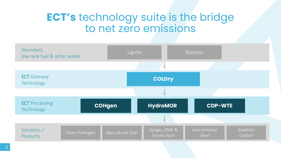### **ECT's** technology suite is the bridge to net zero emissions

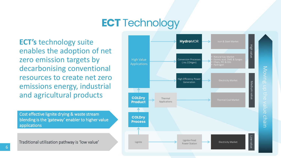## **ECT** Technology

**ECT's** technology suite enables the adoption of net zero emission targets by decarbonising conventional resources to create net zero emissions energy, industrial and agricultural products

Cost effective lignite drying & waste stream blending is the 'gateway' enabler to higher value applications



Moving up the value Moving up the value chain chain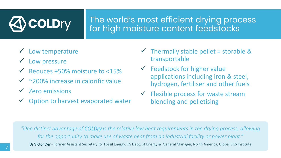# **COLD**ry

### The world's most efficient drying process for high moisture content feedstocks

- Low temperature
- Low pressure
- Reduces +50% moisture to <15%
- ~200% increase in calorific value
- $\checkmark$  Zero emissions
- Option to harvest evaporated water
- Thermally stable pellet = storable & transportable
- $\checkmark$  Feedstock for higher value applications including iron & steel, hydrogen, fertiliser and other fuels
- $\checkmark$  Flexible process for waste stream blending and pelletising

*"One distinct advantage of COLDry is the relative low heat requirements in the drying process, allowing for the opportunity to make use of waste heat from an industrial facility or power plant."*  Dr Victor Der - Former Assistant Secretary for Fossil Energy, US Dept. of Energy & General Manager, North America, Global CCS Institute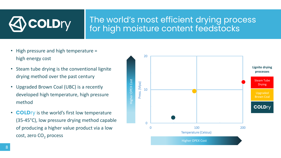

### The world's most efficient drying process for high moisture content feedstocks

- High pressure and high temperature = high energy cost
- Steam tube drying is the conventional lignite drying method over the past century
- Upgraded Brown Coal (UBC) is a recently developed high temperature, high pressure method
- **COLD**ry is the world's first low temperature (35-45°C), low pressure drying method capable of producing a higher value product via a low cost, zero  $CO<sub>2</sub>$  process

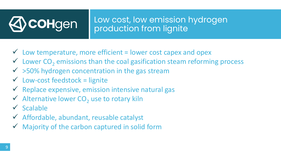# **COHgen** Low cost, low emission hydrogen production from lignite

- $\checkmark$  Low temperature, more efficient = lower cost capex and opex
- $\checkmark$  Lower CO<sub>2</sub> emissions than the coal gasification steam reforming process
- $\checkmark$  >50% hydrogen concentration in the gas stream
- $\checkmark$  Low-cost feedstock = lignite
- $\checkmark$  Replace expensive, emission intensive natural gas
- $\checkmark$  Alternative lower CO<sub>2</sub> use to rotary kiln
- $\checkmark$  Scalable
- ✓ Affordable, abundant, reusable catalyst
- Majority of the carbon captured in solid form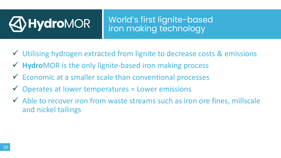

World's first lignite-based **Hydro**MOR iron making technology

- ✓ Utilising hydrogen extracted from lignite to decrease costs & emissions
- ✓ **Hydro**MOR is the only lignite-based iron making process
- ✓ Economic at a smaller scale than conventional processes
- $\checkmark$  Operates at lower temperatures = Lower emissions
- ✓ Able to recover iron from waste streams such as iron ore fines, millscale and nickel tailings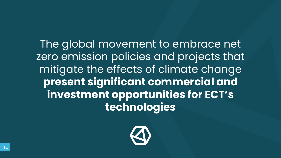The global movement to embrace net zero emission policies and projects that mitigate the effects of climate change **present significant commercial and investment opportunities for ECT's technologies**

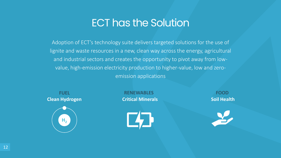### ECT has the Solution

Adoption of ECT's technology suite delivers targeted solutions for the use of lignite and waste resources in a new, clean way across the energy, agricultural and industrial sectors and creates the opportunity to pivot away from lowvalue, high-emission electricity production to higher-value, low and zeroemission applications



**Clean Hydrogen Critical Minerals Critical Minerals Soil Health FUEL RENEWABLES FOOD**



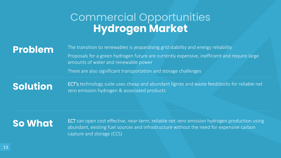### Commercial Opportunities **Hydrogen Market**

**Problem** The transition to renewables is jeopardising grid stability and energy reliability Proposals for a green hydrogen future are currently expensive, inefficient and require large amounts of water and renewable power

There are also significant transportation and storage challenges

**Solution** ECT's technology suite uses cheap and abundant lignite and waste feedstocks for reliable net zero emission hydrogen & associated products

**So What** ECT can open cost effective, near-term, reliable net-zero emission hydrogen production using ECT can open cost effective, near-term, reliable net-zero emission hydrogen production using abundant, existing fuel sources and infrastructure without the need for expensive carbon capture and storage (CCS)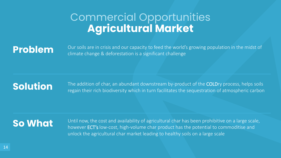### Commercial Opportunities **Agricultural Market**

**Problem** Our soils are in crisis and our capacity to feed the world's growing population in the midst of climate change & deforestation is a significant challenge

**Solution** The addition of char, an abundant downstream by-product of the COLDry process, helps soils regain their rich biodiversity which in turn facilitates the sequestration of atmospheric carbon

**So What** Until now, the cost and availability of agricultural char has been prohibitive on a large scale, however ECT's low-cost, high-volume char product has the potential to commoditise and unlock the agricultural char market leading to healthy soils on a large scale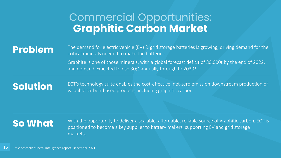### Commercial Opportunities: **Graphitic Carbon Market**

**Problem** The demand for electric vehicle (EV) & grid storage batteries is growing, driving demand for the critical minerals needed to make the batteries.

> Graphite is one of those minerals, with a global forecast deficit of 80,000t by the end of 2022, and demand expected to rise 30% annually through to 2030\*

**Solution** ECT's technology suite enables the cost-effective, net-zero emission downstream production of valuable carbon-based products, including graphitic carbon.

**So What** With the opportunity to deliver a scalable, affordable, reliable source of graphitic carbon, ECT is **Solution** positioned to become a key supplier to battery makers, supporting EV and grid storage markets.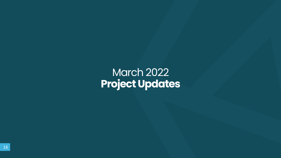### March 2022 **Project Updates**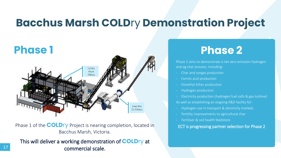### **Bacchus Marsh COLD**ry **Demonstration Project**



Phase 1 of the **COLD**ry Project is nearing completion, located in ECT is progressing partner selection for Phase 2 Bacchus Marsh, Victoria.

This will deliver a working demonstration of **COLD**ry at commercial scale.

17

### **Phase 2**

Phase 2 aims to demonstrate a net zero emission hydrogen and ag char process, including:

- Char and syngas production
- Formic acid production
- Dimethyl Ether production
- Hydrogen production
- Electricity production (hydrogen fuel cells & gas turbine)

As well as establishing an ongoing R&D facility for:

- Hydrogen use in transport & electricity markets
- Fertility improvements to agricultural char
- Fertiliser & soil health feedstock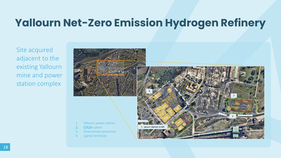Site acquired adjacent to the existing Yallourn mine and power station complex

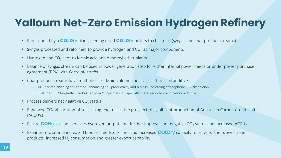- Front ended by a **COLD**ry plant, feeding dried **COLD**ry pellets to char kilns (syngas and char product streams)
- Syngas processed and reformed to provide hydrogen and CO<sub>2</sub> as major components
- Hydrogen and  $CO_2$  sent to formic acid and dimethyl ether plants
- Balance of syngas stream can be used in power generation step for either internal power needs or under power purchase agreement (PPA) with *EnergyAustralia*
- Char product streams have multiple uses. Main volume line is agricultural soil additive:
	- Ag Char replenishing soil carbon, enhancing soil productivity and biology, increasing atmospheric CO<sub>2</sub> absorption
	- Fuel char BBQ briquettes, carburiser (iron & steelmaking), specialty metal reductant and carbon additive
- Process delivers net negative  $CO<sub>2</sub>$  status
- Enhanced CO<sub>2</sub> absorption of soils via ag-char raises the prospect of significant production of Australian Carbon Credit Units (ACCU's)
- Future **COH**gen line increases hydrogen output, and further improves net negative CO<sub>2</sub> status and increased ACCUs
- Expansion to source increased biomass feedstock lines and increased **COLD**ry capacity to serve further downstream products, increased  $H_2$  consumption and greater export capability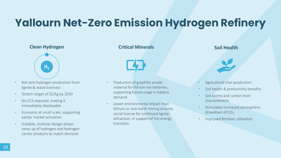

- Net zero hydrogen production from lignite & waste biomass
- Stretch target of \$2/kg by 2030
- No CCS required, making it immediately deployable
- Economic at small scale, supporting earlier market activation
- Scalable, modular design allows ramp up of hydrogen and hydrogen carrier products to match demand

### **Clean Hydrogen Critical Minerals Critical Minerals Soil Health**



- Production of graphitic anode material for lithium-ion batteries, supporting future surge in battery demand
- Lower environmental impact than lithium or rare-earth mining ensures social license for continued lignite extraction, in support of the energy transition

- Agricultural char production
- Soil health & productivity benefits
- Soil biome and carbon level improvements
- Stimulates increased atmospheric drawdown of  $CO<sub>2</sub>$
- Improved fertiliser utilization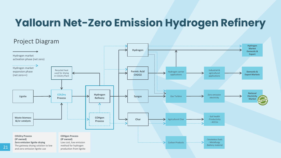### Project Diagram**Hydrogen Market Hydrogen Domestic &**  . . . . . . . **Export** . . . . . . . Hydrogen market activation phase (net zero) Hydrogen market Recycled heat Industrial & expansion phase **Formic Acid** Hydrogen carrier **Domestic &**  used for drying agricultural **CH2O2** applications **Export Markets** (net zero++) in COLDry Plant applications  $\ldots \ldots \rightarrow$ **National COLDry Hydrogen**  Zero emission **Syngas**  $\leftarrow$  Gas Turbine **Lignite Electricity**  electricity **Refinery Process Market** A - Soil health **COHgen Waste biomass Char** - Productivity → Agricultural Char **&/or catalysts Process** - ACCUs . . . . . . . . . . . . . . **COLDry Process COHgen Process (IP owned) (IP owned)** - Smokeless fuels **Zero emission lignite drying** Low cost, low emission  $\ldots, \ldots, \ldots, \ldots, \ldots, \ldots, \ldots$ Carbon Products . . . . . . . . . . . . . . . . . . 5 - Metallurgy The gateway drying solution to low - Battery material method for hydrogen

and zero-emission lignite use

production from lignite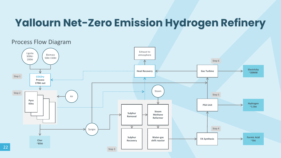### Process Flow Diagram

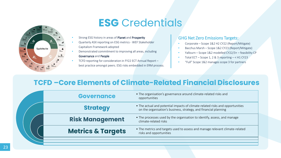

### **ESG** Credentials

- Strong ESG history in areas of Planet and Prosperity
- Quarterly ASX reporting on ESG metrics WEF Stakeholder Capitalism Framework adopted
- Demonstrated commitment to improving all areas, including Governance and People
- TCFD reporting for consideration in FY22 ECT Annual Report best practice amongst peers. ESG risks embedded in ERM process.

### GHG Net Zero Emissions Targets:

- Corporate Scope 1&2 H2 CY22 (Report/Mitigate)
- Bacchus Marsh Scope 1&2 CY23 (Report/Mitigate)
- Yallourn Scope 1&2 modelled CY22/3+ feasibility CP
- Total ECT Scope 1, 2 & 3 reporting  $-$  < H1 CY23
- "Full" Scope 1&2 manages scope 3 for partners

### **TCFD –Core Elements of Climate-Related Financial Disclosures**

| <b>Governance</b>            | • The organisation's governance around climate-related risks and<br>opportunities                                                                 |
|------------------------------|---------------------------------------------------------------------------------------------------------------------------------------------------|
| <b>Strategy</b>              | • The actual and potential impacts of climate-related risks and opportunities<br>on the organisation's business, strategy, and financial planning |
| <b>Risk Management</b>       | • The processes used by the organisation to identify, assess, and manage<br>climate-related risks                                                 |
| <b>Metrics &amp; Targets</b> | • The metrics and targets used to assess and manage relevant climate-related<br>risks and opportunities                                           |
|                              |                                                                                                                                                   |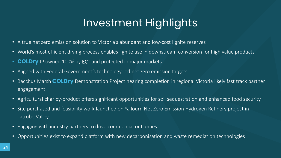# Investment Highlights

- A true net zero emission solution to Victoria's abundant and low-cost lignite reserves
- World's most efficient drying process enables lignite use in downstream conversion for high value products
- **COLDry** IP owned 100% by ECT and protected in major markets
- Aligned with Federal Government's technology-led net zero emission targets
- Bacchus Marsh **COLDry** Demonstration Project nearing completion in regional Victoria likely fast track partner engagement
- Agricultural char by-product offers significant opportunities for soil sequestration and enhanced food security
- Site purchased and feasibility work launched on Yallourn Net Zero Emission Hydrogen Refinery project in Latrobe Valley
- Engaging with industry partners to drive commercial outcomes
- Opportunities exist to expand platform with new decarbonisation and waste remediation technologies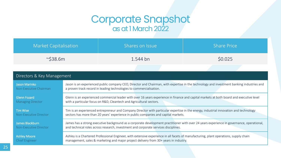### Corporate Snapshot as at 1 March 2022

| <b>Market Capitalisation</b>  |                                                                                                                                           | Shares on Issue | <b>Share Price</b> |  |  |
|-------------------------------|-------------------------------------------------------------------------------------------------------------------------------------------|-----------------|--------------------|--|--|
| $\sim$ \$38.6m                |                                                                                                                                           | 1.544 bn        | \$0.025            |  |  |
|                               |                                                                                                                                           |                 |                    |  |  |
| Directors & Key Management    |                                                                                                                                           |                 |                    |  |  |
| <b>Jason Marinko</b>          | Jason is an experienced public company CEO, Director and Chairman, with expertise in the technology and investment banking industries and |                 |                    |  |  |
| Non-Executive Chairman        | a proven track record in leading technologies to commercialisation.                                                                       |                 |                    |  |  |
| <b>Glenn Fozard</b>           | Glenn is an experienced commercial leader with over 16 years experience in finance and capital markets at both board and executive level  |                 |                    |  |  |
| <b>Managing Director</b>      | with a particular focus on R&D, Cleantech and Agricultural sectors.                                                                       |                 |                    |  |  |
| <b>Tim Wise</b>               | Tim is an experienced entrepreneur and Company Director with particular expertise in the energy, industrial innovation and technology     |                 |                    |  |  |
| <b>Non-Executive Director</b> | sectors has more than 20 years' experience in public companies and capital markets.                                                       |                 |                    |  |  |
| James Blackburn               | James has a strong executive background as a corporate development practitioner with over 24 years experience in governance, operational, |                 |                    |  |  |
| <b>Non-Executive Director</b> | and technical roles across research, investment and corporate services disciplines.                                                       |                 |                    |  |  |
| <b>Ashley Moore</b>           | Ashley is a Chartered Professional Engineer, with extensive experience in all facets of manufacturing, plant operations, supply chain     |                 |                    |  |  |
| <b>Chief Engineer</b>         | management, sales & marketing and major project delivery from 30+ years in industry.                                                      |                 |                    |  |  |